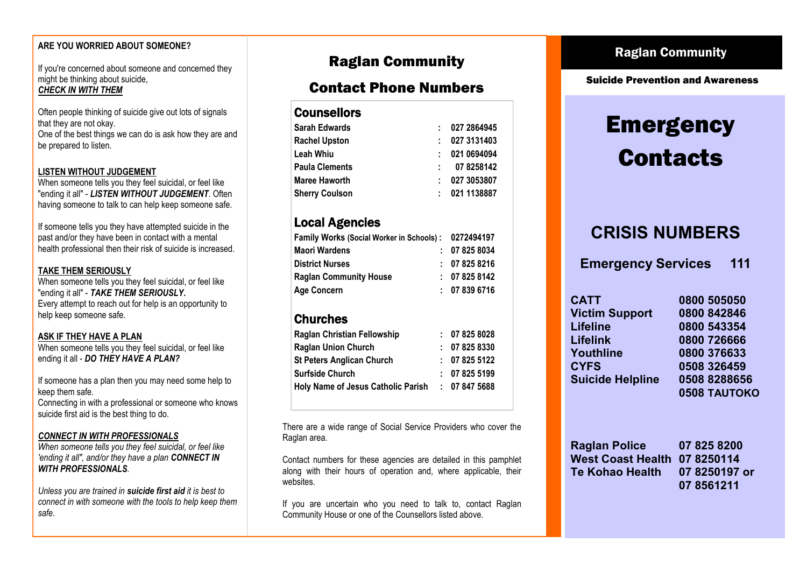#### **ARE YOU WORRIED ABOUT SOMEONE?**

If you're concerned about someone and concerned they might be thinking about suicide, *CHECK IN WITH THEM*

Often people thinking of suicide give out lots of [signals](http://www.spinz.org.nz/page/149-warning-signs)  that they are not okay. One of the best things we can do is ask how they are and

be prepared to listen.

#### **LISTEN WITHOUT JUDGEMENT**

When someone tells you they feel suicidal, or feel like "ending it all" - *LISTEN WITHOUT JUDGEMENT*. Often having someone to talk to can help keep someone safe.

If someone tells you they have attempted suicide in the past and/or they have been in contact with a mental health professional then their risk of suicide is increased.

#### **TAKE THEM SERIOUSLY**

When someone tells you they feel suicidal, or feel like "ending it all" - *TAKE THEM SERIOUSLY***.** Every attempt to reach out for help is an opportunity to help keep someone safe.

#### **ASK IF THEY HAVE A PLAN**

When someone tells you they feel suicidal, or feel like ending it all - *DO THEY HAVE A PLAN?*

If someone has a plan then you may need some help to keep them safe.

Connecting in with a professional or someone who knows suicide first aid is the best thing to do.

#### *CONNECT IN WITH PROFESSIONALS*

*When someone tells you they feel suicidal, or feel like 'ending it all", and/or they have a plan CONNECT IN WITH PROFESSIONALS.* 

*Unless you are trained in suicide first aid it is best to connect in with someone with the tools to help keep them safe*.

# Raglan Community

# Contact Phone Numbers

#### **Counsellors**

| Sarah Edwards         | 027 2864945       |
|-----------------------|-------------------|
| Rachel Upston         | 027 3131403       |
| Leah Whiu             | 021 0694094<br>t. |
| Paula Clements        | 078258142<br>t in |
| Maree Haworth         | 027 3053807       |
| <b>Sherry Coulson</b> | 021 1138887       |
|                       |                   |

# Local Agencies

| <b>Family Works (Social Worker in Schools):</b> |  | 0272494197  |
|-------------------------------------------------|--|-------------|
| <b>Maori Wardens</b>                            |  | : 078258034 |
| <b>District Nurses</b>                          |  | : 078258216 |
| <b>Raglan Community House</b>                   |  | 07 825 8142 |
| <b>Age Concern</b>                              |  | : 078396716 |

# Churches

| <b>Raglan Christian Fellowship</b> | : 078258028 |
|------------------------------------|-------------|
| <b>Raglan Union Church</b>         | : 078258330 |
| <b>St Peters Anglican Church</b>   | : 078255122 |
| <b>Surfside Church</b>             | : 078255199 |
| Holy Name of Jesus Catholic Parish | : 078475688 |
|                                    |             |

There are a wide range of Social Service Providers who cover the Raglan area.

Contact numbers for these agencies are detailed in this pamphlet along with their hours of operation and, where applicable, their websites.

If you are uncertain who you need to talk to, contact Raglan Community House or one of the Counsellors listed above.

# Raglan Community

Suicide Prevention and Awareness

# **Emergency Contacts**

# **CRISIS NUMBERS**

**Emergency Services 111**

| <b>CATT</b>             | 0800 505050  |
|-------------------------|--------------|
| <b>Victim Support</b>   | 0800 842846  |
| Lifeline                | 0800 543354  |
| <b>Lifelink</b>         | 0800 726666  |
| Youthline               | 0800 376633  |
| <b>CYFS</b>             | 0508 326459  |
| <b>Suicide Helpline</b> | 0508 8288656 |
|                         | 0508 TAUTOKO |

| <b>Raglan Police</b>         | 07 825 8200   |
|------------------------------|---------------|
| West Coast Health 07 8250114 |               |
| Te Kohao Health              | 07 8250197 or |
|                              | 07 8561211    |